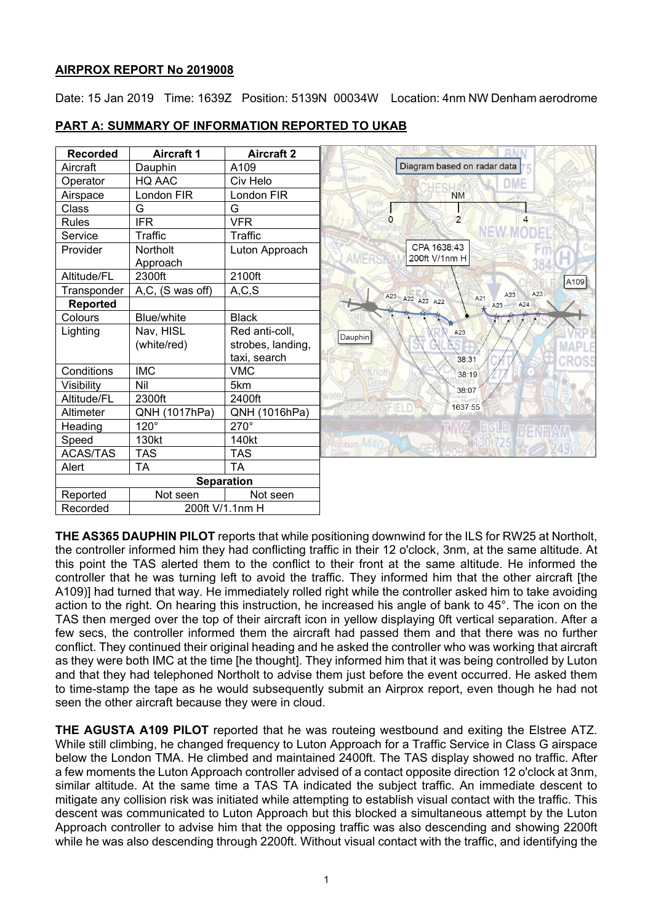## **AIRPROX REPORT No 2019008**

Date: 15 Jan 2019 Time: 1639Z Position: 5139N 00034W Location: 4nm NW Denham aerodrome

| <b>Recorded</b>   | <b>Aircraft 1</b>  | <b>Aircraft 2</b> |  |
|-------------------|--------------------|-------------------|--|
| Aircraft          | Dauphin            | A <sub>109</sub>  |  |
| Operator          | HQ AAC             | Civ Helo          |  |
| Airspace          | London FIR         | London FIR        |  |
| Class             | G                  | G                 |  |
| <b>Rules</b>      | <b>IFR</b>         | <b>VFR</b>        |  |
| Service           | Traffic            | Traffic           |  |
| Provider          | <b>Northolt</b>    | Luton Approach    |  |
| Altitude/FL       | Approach<br>2300ft | 2100ft            |  |
| Transponder       | A,C, (S was off)   | A, C, S           |  |
| <b>Reported</b>   |                    |                   |  |
| Colours           | Blue/white         | <b>Black</b>      |  |
| Lighting          | Nav, HISL          | Red anti-coll,    |  |
|                   | (white/red)        | strobes, landing, |  |
|                   |                    | taxi, search      |  |
| Conditions        | <b>IMC</b>         | <b>VMC</b>        |  |
| Visibility        | Nil                | 5km               |  |
| Altitude/FL       | 2300ft             | 2400ft            |  |
| Altimeter         | QNH (1017hPa)      | QNH (1016hPa)     |  |
| Heading           | $120^\circ$        | 270°              |  |
| Speed             | 130kt              | 140kt             |  |
| <b>ACAS/TAS</b>   | <b>TAS</b>         | <b>TAS</b>        |  |
| Alert             | <b>TA</b>          | <b>TA</b>         |  |
| <b>Separation</b> |                    |                   |  |
| Reported          | Not seen           | Not seen          |  |
| Recorded          | 200ft V/1.1nm H    |                   |  |

# **PART A: SUMMARY OF INFORMATION REPORTED TO UKAB**

**THE AS365 DAUPHIN PILOT** reports that while positioning downwind for the ILS for RW25 at Northolt, the controller informed him they had conflicting traffic in their 12 o'clock, 3nm, at the same altitude. At this point the TAS alerted them to the conflict to their front at the same altitude. He informed the controller that he was turning left to avoid the traffic. They informed him that the other aircraft [the A109)] had turned that way. He immediately rolled right while the controller asked him to take avoiding action to the right. On hearing this instruction, he increased his angle of bank to 45°. The icon on the TAS then merged over the top of their aircraft icon in yellow displaying 0ft vertical separation. After a few secs, the controller informed them the aircraft had passed them and that there was no further conflict. They continued their original heading and he asked the controller who was working that aircraft as they were both IMC at the time [he thought]. They informed him that it was being controlled by Luton and that they had telephoned Northolt to advise them just before the event occurred. He asked them to time-stamp the tape as he would subsequently submit an Airprox report, even though he had not seen the other aircraft because they were in cloud.

**THE AGUSTA A109 PILOT** reported that he was routeing westbound and exiting the Elstree ATZ. While still climbing, he changed frequency to Luton Approach for a Traffic Service in Class G airspace below the London TMA. He climbed and maintained 2400ft. The TAS display showed no traffic. After a few moments the Luton Approach controller advised of a contact opposite direction 12 o'clock at 3nm, similar altitude. At the same time a TAS TA indicated the subject traffic. An immediate descent to mitigate any collision risk was initiated while attempting to establish visual contact with the traffic. This descent was communicated to Luton Approach but this blocked a simultaneous attempt by the Luton Approach controller to advise him that the opposing traffic was also descending and showing 2200ft while he was also descending through 2200ft. Without visual contact with the traffic, and identifying the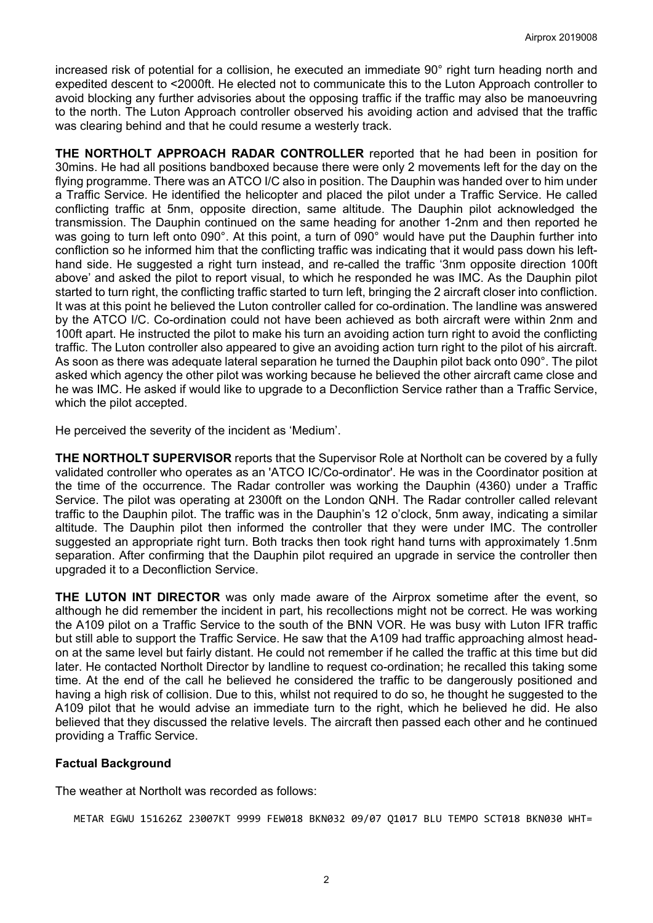increased risk of potential for a collision, he executed an immediate 90° right turn heading north and expedited descent to <2000ft. He elected not to communicate this to the Luton Approach controller to avoid blocking any further advisories about the opposing traffic if the traffic may also be manoeuvring to the north. The Luton Approach controller observed his avoiding action and advised that the traffic was clearing behind and that he could resume a westerly track.

**THE NORTHOLT APPROACH RADAR CONTROLLER** reported that he had been in position for 30mins. He had all positions bandboxed because there were only 2 movements left for the day on the flying programme. There was an ATCO I/C also in position. The Dauphin was handed over to him under a Traffic Service. He identified the helicopter and placed the pilot under a Traffic Service. He called conflicting traffic at 5nm, opposite direction, same altitude. The Dauphin pilot acknowledged the transmission. The Dauphin continued on the same heading for another 1-2nm and then reported he was going to turn left onto 090°. At this point, a turn of 090° would have put the Dauphin further into confliction so he informed him that the conflicting traffic was indicating that it would pass down his lefthand side. He suggested a right turn instead, and re-called the traffic '3nm opposite direction 100ft above' and asked the pilot to report visual, to which he responded he was IMC. As the Dauphin pilot started to turn right, the conflicting traffic started to turn left, bringing the 2 aircraft closer into confliction. It was at this point he believed the Luton controller called for co-ordination. The landline was answered by the ATCO I/C. Co-ordination could not have been achieved as both aircraft were within 2nm and 100ft apart. He instructed the pilot to make his turn an avoiding action turn right to avoid the conflicting traffic. The Luton controller also appeared to give an avoiding action turn right to the pilot of his aircraft. As soon as there was adequate lateral separation he turned the Dauphin pilot back onto 090°. The pilot asked which agency the other pilot was working because he believed the other aircraft came close and he was IMC. He asked if would like to upgrade to a Deconfliction Service rather than a Traffic Service, which the pilot accepted.

He perceived the severity of the incident as 'Medium'.

**THE NORTHOLT SUPERVISOR** reports that the Supervisor Role at Northolt can be covered by a fully validated controller who operates as an 'ATCO IC/Co-ordinator'. He was in the Coordinator position at the time of the occurrence. The Radar controller was working the Dauphin (4360) under a Traffic Service. The pilot was operating at 2300ft on the London QNH. The Radar controller called relevant traffic to the Dauphin pilot. The traffic was in the Dauphin's 12 o'clock, 5nm away, indicating a similar altitude. The Dauphin pilot then informed the controller that they were under IMC. The controller suggested an appropriate right turn. Both tracks then took right hand turns with approximately 1.5nm separation. After confirming that the Dauphin pilot required an upgrade in service the controller then upgraded it to a Deconfliction Service.

**THE LUTON INT DIRECTOR** was only made aware of the Airprox sometime after the event, so although he did remember the incident in part, his recollections might not be correct. He was working the A109 pilot on a Traffic Service to the south of the BNN VOR. He was busy with Luton IFR traffic but still able to support the Traffic Service. He saw that the A109 had traffic approaching almost headon at the same level but fairly distant. He could not remember if he called the traffic at this time but did later. He contacted Northolt Director by landline to request co-ordination; he recalled this taking some time. At the end of the call he believed he considered the traffic to be dangerously positioned and having a high risk of collision. Due to this, whilst not required to do so, he thought he suggested to the A109 pilot that he would advise an immediate turn to the right, which he believed he did. He also believed that they discussed the relative levels. The aircraft then passed each other and he continued providing a Traffic Service.

# **Factual Background**

The weather at Northolt was recorded as follows:

METAR EGWU 151626Z 23007KT 9999 FEW018 BKN032 09/07 Q1017 BLU TEMPO SCT018 BKN030 WHT=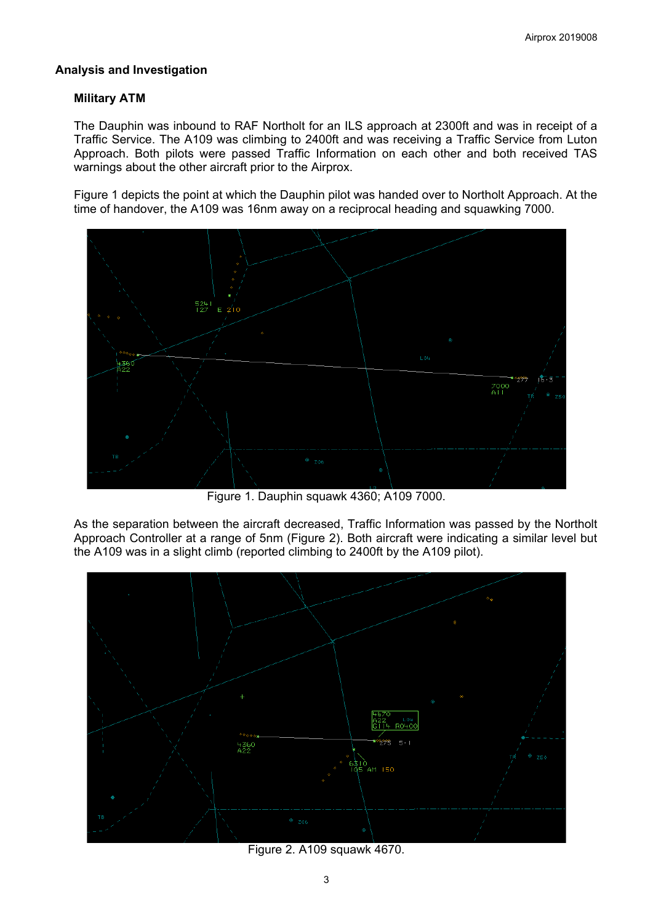## **Analysis and Investigation**

## **Military ATM**

The Dauphin was inbound to RAF Northolt for an ILS approach at 2300ft and was in receipt of a Traffic Service. The A109 was climbing to 2400ft and was receiving a Traffic Service from Luton Approach. Both pilots were passed Traffic Information on each other and both received TAS warnings about the other aircraft prior to the Airprox.

Figure 1 depicts the point at which the Dauphin pilot was handed over to Northolt Approach. At the time of handover, the A109 was 16nm away on a reciprocal heading and squawking 7000.



Figure 1. Dauphin squawk 4360; A109 7000.

As the separation between the aircraft decreased, Traffic Information was passed by the Northolt Approach Controller at a range of 5nm (Figure 2). Both aircraft were indicating a similar level but the A109 was in a slight climb (reported climbing to 2400ft by the A109 pilot).



Figure 2. A109 squawk 4670.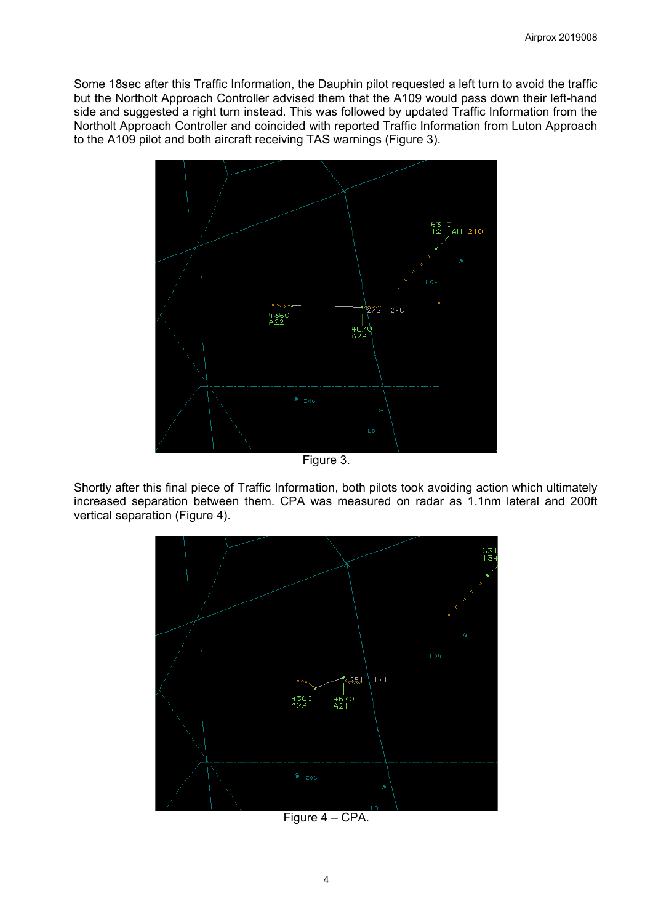Some 18sec after this Traffic Information, the Dauphin pilot requested a left turn to avoid the traffic but the Northolt Approach Controller advised them that the A109 would pass down their left-hand side and suggested a right turn instead. This was followed by updated Traffic Information from the Northolt Approach Controller and coincided with reported Traffic Information from Luton Approach to the A109 pilot and both aircraft receiving TAS warnings (Figure 3).



Figure 3.

Shortly after this final piece of Traffic Information, both pilots took avoiding action which ultimately increased separation between them. CPA was measured on radar as 1.1nm lateral and 200ft vertical separation (Figure 4).



Figure 4 – CPA.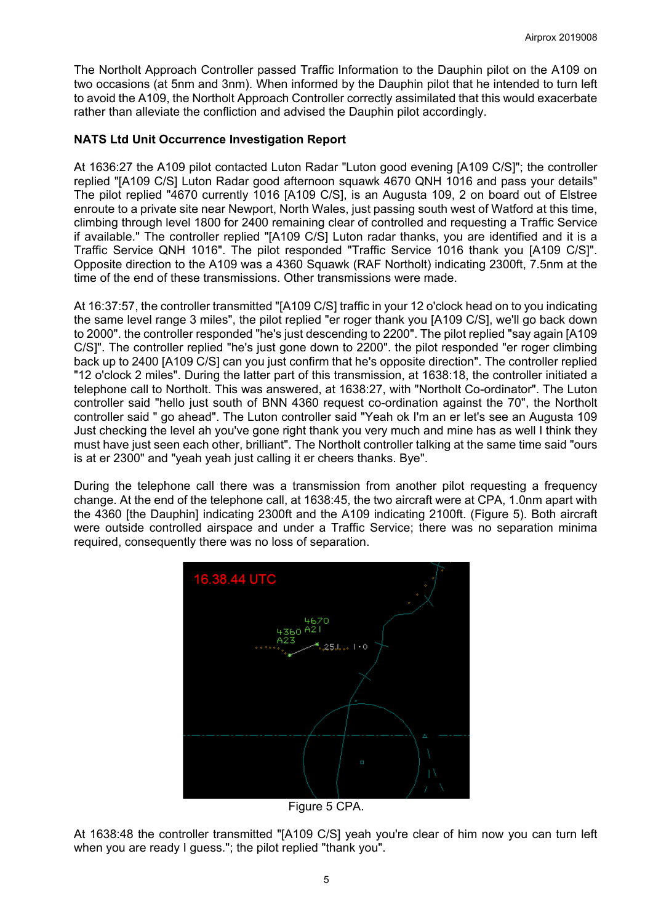The Northolt Approach Controller passed Traffic Information to the Dauphin pilot on the A109 on two occasions (at 5nm and 3nm). When informed by the Dauphin pilot that he intended to turn left to avoid the A109, the Northolt Approach Controller correctly assimilated that this would exacerbate rather than alleviate the confliction and advised the Dauphin pilot accordingly.

## **NATS Ltd Unit Occurrence Investigation Report**

At 1636:27 the A109 pilot contacted Luton Radar "Luton good evening [A109 C/S]"; the controller replied "[A109 C/S] Luton Radar good afternoon squawk 4670 QNH 1016 and pass your details" The pilot replied "4670 currently 1016 [A109 C/S], is an Augusta 109, 2 on board out of Elstree enroute to a private site near Newport, North Wales, just passing south west of Watford at this time, climbing through level 1800 for 2400 remaining clear of controlled and requesting a Traffic Service if available." The controller replied "[A109 C/S] Luton radar thanks, you are identified and it is a Traffic Service QNH 1016". The pilot responded "Traffic Service 1016 thank you [A109 C/S]". Opposite direction to the A109 was a 4360 Squawk (RAF Northolt) indicating 2300ft, 7.5nm at the time of the end of these transmissions. Other transmissions were made.

At 16:37:57, the controller transmitted "[A109 C/S] traffic in your 12 o'clock head on to you indicating the same level range 3 miles", the pilot replied "er roger thank you [A109 C/S], we'll go back down to 2000". the controller responded "he's just descending to 2200". The pilot replied "say again [A109 C/S]". The controller replied "he's just gone down to 2200". the pilot responded "er roger climbing back up to 2400 [A109 C/S] can you just confirm that he's opposite direction". The controller replied "12 o'clock 2 miles". During the latter part of this transmission, at 1638:18, the controller initiated a telephone call to Northolt. This was answered, at 1638:27, with "Northolt Co-ordinator". The Luton controller said "hello just south of BNN 4360 request co-ordination against the 70", the Northolt controller said " go ahead". The Luton controller said "Yeah ok I'm an er let's see an Augusta 109 Just checking the level ah you've gone right thank you very much and mine has as well I think they must have just seen each other, brilliant". The Northolt controller talking at the same time said "ours is at er 2300" and "yeah yeah just calling it er cheers thanks. Bye".

During the telephone call there was a transmission from another pilot requesting a frequency change. At the end of the telephone call, at 1638:45, the two aircraft were at CPA, 1.0nm apart with the 4360 [the Dauphin] indicating 2300ft and the A109 indicating 2100ft. (Figure 5). Both aircraft were outside controlled airspace and under a Traffic Service; there was no separation minima required, consequently there was no loss of separation.



Figure 5 CPA.

At 1638:48 the controller transmitted "[A109 C/S] yeah you're clear of him now you can turn left when you are ready I guess."; the pilot replied "thank you".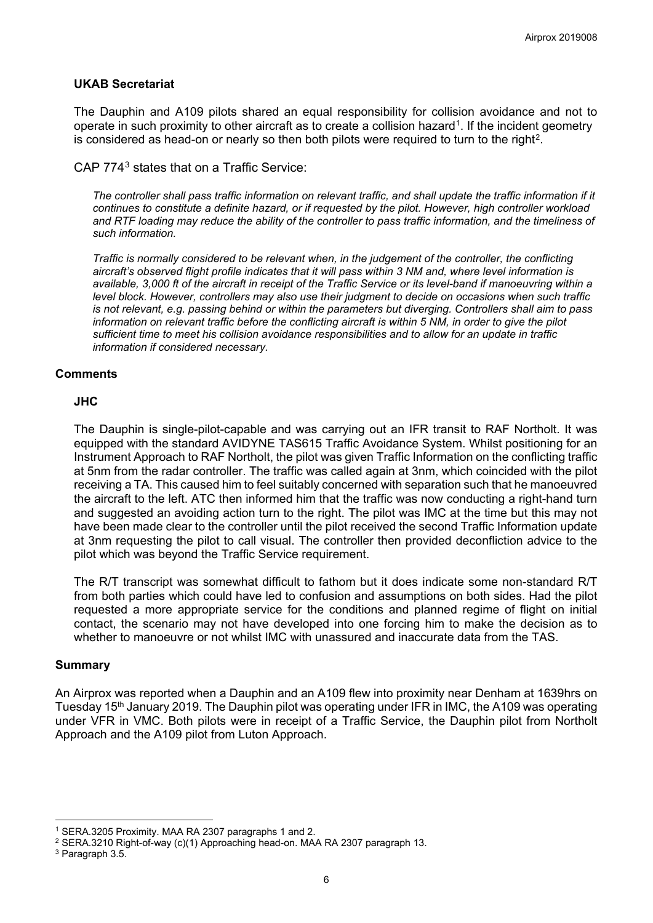## **UKAB Secretariat**

The Dauphin and A109 pilots shared an equal responsibility for collision avoidance and not to operate in such proximity to other aircraft as to create a collision hazard<sup>1</sup>. If the incident geometry is considered as head-on or nearly so then both pilots were required to turn to the right<sup>[2](#page-5-1)</sup>.

CAP 774[3](#page-5-2) states that on a Traffic Service:

*The controller shall pass traffic information on relevant traffic, and shall update the traffic information if it continues to constitute a definite hazard, or if requested by the pilot. However, high controller workload and RTF loading may reduce the ability of the controller to pass traffic information, and the timeliness of such information.*

*Traffic is normally considered to be relevant when, in the judgement of the controller, the conflicting aircraft's observed flight profile indicates that it will pass within 3 NM and, where level information is available, 3,000 ft of the aircraft in receipt of the Traffic Service or its level-band if manoeuvring within a level block. However, controllers may also use their judgment to decide on occasions when such traffic is not relevant, e.g. passing behind or within the parameters but diverging. Controllers shall aim to pass information on relevant traffic before the conflicting aircraft is within 5 NM, in order to give the pilot sufficient time to meet his collision avoidance responsibilities and to allow for an update in traffic information if considered necessary.*

## **Comments**

#### **JHC**

The Dauphin is single-pilot-capable and was carrying out an IFR transit to RAF Northolt. It was equipped with the standard AVIDYNE TAS615 Traffic Avoidance System. Whilst positioning for an Instrument Approach to RAF Northolt, the pilot was given Traffic Information on the conflicting traffic at 5nm from the radar controller. The traffic was called again at 3nm, which coincided with the pilot receiving a TA. This caused him to feel suitably concerned with separation such that he manoeuvred the aircraft to the left. ATC then informed him that the traffic was now conducting a right-hand turn and suggested an avoiding action turn to the right. The pilot was IMC at the time but this may not have been made clear to the controller until the pilot received the second Traffic Information update at 3nm requesting the pilot to call visual. The controller then provided deconfliction advice to the pilot which was beyond the Traffic Service requirement.

The R/T transcript was somewhat difficult to fathom but it does indicate some non-standard R/T from both parties which could have led to confusion and assumptions on both sides. Had the pilot requested a more appropriate service for the conditions and planned regime of flight on initial contact, the scenario may not have developed into one forcing him to make the decision as to whether to manoeuvre or not whilst IMC with unassured and inaccurate data from the TAS.

#### **Summary**

An Airprox was reported when a Dauphin and an A109 flew into proximity near Denham at 1639hrs on Tuesday 15<sup>th</sup> January 2019. The Dauphin pilot was operating under IFR in IMC, the A109 was operating under VFR in VMC. Both pilots were in receipt of a Traffic Service, the Dauphin pilot from Northolt Approach and the A109 pilot from Luton Approach.

 $\overline{a}$ 

<span id="page-5-0"></span><sup>1</sup> SERA.3205 Proximity. MAA RA 2307 paragraphs 1 and 2.

<span id="page-5-1"></span><sup>2</sup> SERA.3210 Right-of-way (c)(1) Approaching head-on. MAA RA 2307 paragraph 13.

<span id="page-5-2"></span><sup>3</sup> Paragraph 3.5.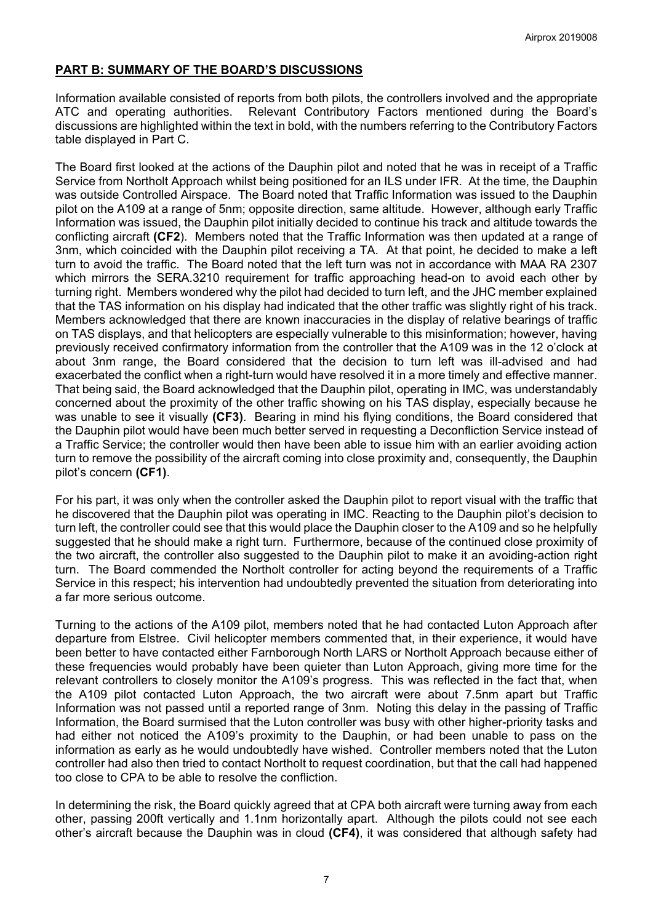# **PART B: SUMMARY OF THE BOARD'S DISCUSSIONS**

Information available consisted of reports from both pilots, the controllers involved and the appropriate ATC and operating authorities. Relevant Contributory Factors mentioned during the Board's discussions are highlighted within the text in bold, with the numbers referring to the Contributory Factors table displayed in Part C.

The Board first looked at the actions of the Dauphin pilot and noted that he was in receipt of a Traffic Service from Northolt Approach whilst being positioned for an ILS under IFR. At the time, the Dauphin was outside Controlled Airspace. The Board noted that Traffic Information was issued to the Dauphin pilot on the A109 at a range of 5nm; opposite direction, same altitude. However, although early Traffic Information was issued, the Dauphin pilot initially decided to continue his track and altitude towards the conflicting aircraft **(CF2**). Members noted that the Traffic Information was then updated at a range of 3nm, which coincided with the Dauphin pilot receiving a TA. At that point, he decided to make a left turn to avoid the traffic. The Board noted that the left turn was not in accordance with MAA RA 2307 which mirrors the SERA.3210 requirement for traffic approaching head-on to avoid each other by turning right. Members wondered why the pilot had decided to turn left, and the JHC member explained that the TAS information on his display had indicated that the other traffic was slightly right of his track. Members acknowledged that there are known inaccuracies in the display of relative bearings of traffic on TAS displays, and that helicopters are especially vulnerable to this misinformation; however, having previously received confirmatory information from the controller that the A109 was in the 12 o'clock at about 3nm range, the Board considered that the decision to turn left was ill-advised and had exacerbated the conflict when a right-turn would have resolved it in a more timely and effective manner. That being said, the Board acknowledged that the Dauphin pilot, operating in IMC, was understandably concerned about the proximity of the other traffic showing on his TAS display, especially because he was unable to see it visually **(CF3)**. Bearing in mind his flying conditions, the Board considered that the Dauphin pilot would have been much better served in requesting a Deconfliction Service instead of a Traffic Service; the controller would then have been able to issue him with an earlier avoiding action turn to remove the possibility of the aircraft coming into close proximity and, consequently, the Dauphin pilot's concern **(CF1)**.

For his part, it was only when the controller asked the Dauphin pilot to report visual with the traffic that he discovered that the Dauphin pilot was operating in IMC. Reacting to the Dauphin pilot's decision to turn left, the controller could see that this would place the Dauphin closer to the A109 and so he helpfully suggested that he should make a right turn. Furthermore, because of the continued close proximity of the two aircraft, the controller also suggested to the Dauphin pilot to make it an avoiding-action right turn. The Board commended the Northolt controller for acting beyond the requirements of a Traffic Service in this respect; his intervention had undoubtedly prevented the situation from deteriorating into a far more serious outcome.

Turning to the actions of the A109 pilot, members noted that he had contacted Luton Approach after departure from Elstree. Civil helicopter members commented that, in their experience, it would have been better to have contacted either Farnborough North LARS or Northolt Approach because either of these frequencies would probably have been quieter than Luton Approach, giving more time for the relevant controllers to closely monitor the A109's progress. This was reflected in the fact that, when the A109 pilot contacted Luton Approach, the two aircraft were about 7.5nm apart but Traffic Information was not passed until a reported range of 3nm. Noting this delay in the passing of Traffic Information, the Board surmised that the Luton controller was busy with other higher-priority tasks and had either not noticed the A109's proximity to the Dauphin, or had been unable to pass on the information as early as he would undoubtedly have wished. Controller members noted that the Luton controller had also then tried to contact Northolt to request coordination, but that the call had happened too close to CPA to be able to resolve the confliction.

In determining the risk, the Board quickly agreed that at CPA both aircraft were turning away from each other, passing 200ft vertically and 1.1nm horizontally apart. Although the pilots could not see each other's aircraft because the Dauphin was in cloud **(CF4)**, it was considered that although safety had